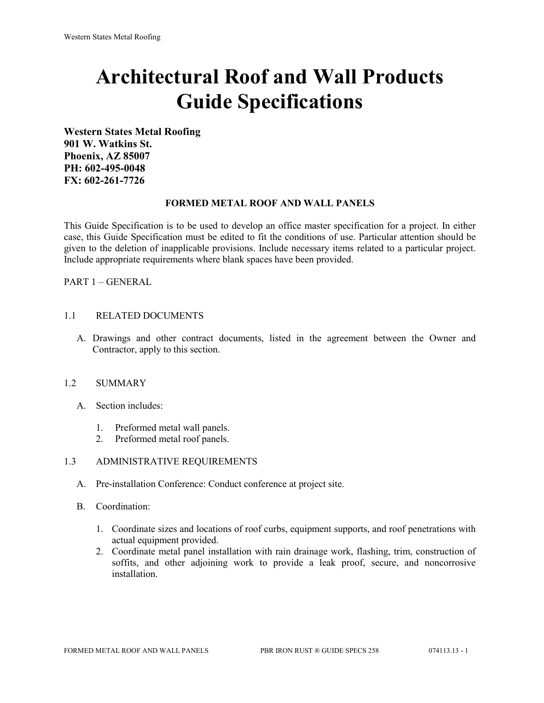# **Architectural Roof and Wall Products Guide Specifications**

**Western States Metal Roofing 901 W. Watkins St. Phoenix, AZ 85007 PH: 602-495-0048 FX: 602-261-7726**

#### **FORMED METAL ROOF AND WALL PANELS**

This Guide Specification is to be used to develop an office master specification for a project. In either case, this Guide Specification must be edited to fit the conditions of use. Particular attention should be given to the deletion of inapplicable provisions. Include necessary items related to a particular project. Include appropriate requirements where blank spaces have been provided.

PART 1 – GENERAL

#### 1.1 RELATED DOCUMENTS

A. Drawings and other contract documents, listed in the agreement between the Owner and Contractor, apply to this section.

#### 1.2 SUMMARY

- A. Section includes:
	- 1. Preformed metal wall panels.
	- 2. Preformed metal roof panels.

#### 1.3 ADMINISTRATIVE REQUIREMENTS

- A. Pre-installation Conference: Conduct conference at project site.
- B. Coordination:
	- 1. Coordinate sizes and locations of roof curbs, equipment supports, and roof penetrations with actual equipment provided.
	- 2. Coordinate metal panel installation with rain drainage work, flashing, trim, construction of soffits, and other adjoining work to provide a leak proof, secure, and noncorrosive installation.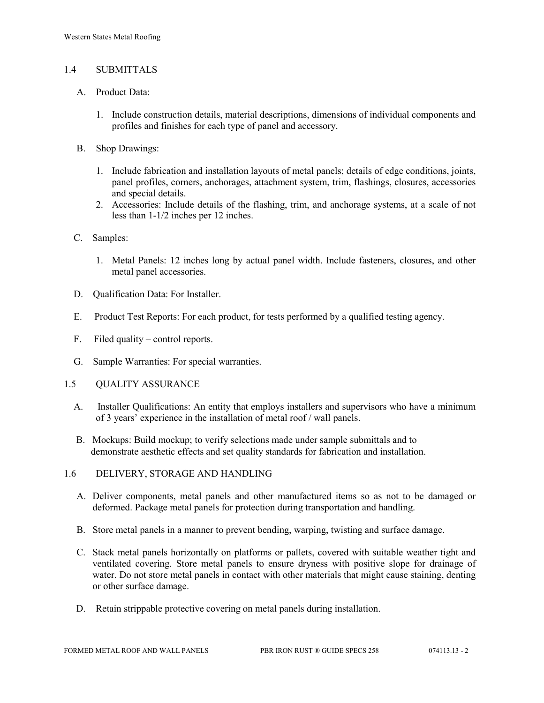## 1.4 SUBMITTALS

- A. Product Data:
	- 1. Include construction details, material descriptions, dimensions of individual components and profiles and finishes for each type of panel and accessory.
- B. Shop Drawings:
	- 1. Include fabrication and installation layouts of metal panels; details of edge conditions, joints, panel profiles, corners, anchorages, attachment system, trim, flashings, closures, accessories and special details.
	- 2. Accessories: Include details of the flashing, trim, and anchorage systems, at a scale of not less than 1-1/2 inches per 12 inches.
- C. Samples:
	- 1. Metal Panels: 12 inches long by actual panel width. Include fasteners, closures, and other metal panel accessories.
- D. Oualification Data: For Installer.
- E. Product Test Reports: For each product, for tests performed by a qualified testing agency.
- F. Filed quality control reports.
- G. Sample Warranties: For special warranties.
- 1.5 QUALITY ASSURANCE
	- A. Installer Qualifications: An entity that employs installers and supervisors who have a minimum of 3 years' experience in the installation of metal roof / wall panels.
	- B. Mockups: Build mockup; to verify selections made under sample submittals and to demonstrate aesthetic effects and set quality standards for fabrication and installation.
- 1.6 DELIVERY, STORAGE AND HANDLING
	- A. Deliver components, metal panels and other manufactured items so as not to be damaged or deformed. Package metal panels for protection during transportation and handling.
	- B. Store metal panels in a manner to prevent bending, warping, twisting and surface damage.
	- C. Stack metal panels horizontally on platforms or pallets, covered with suitable weather tight and ventilated covering. Store metal panels to ensure dryness with positive slope for drainage of water. Do not store metal panels in contact with other materials that might cause staining, denting or other surface damage.
	- D. Retain strippable protective covering on metal panels during installation.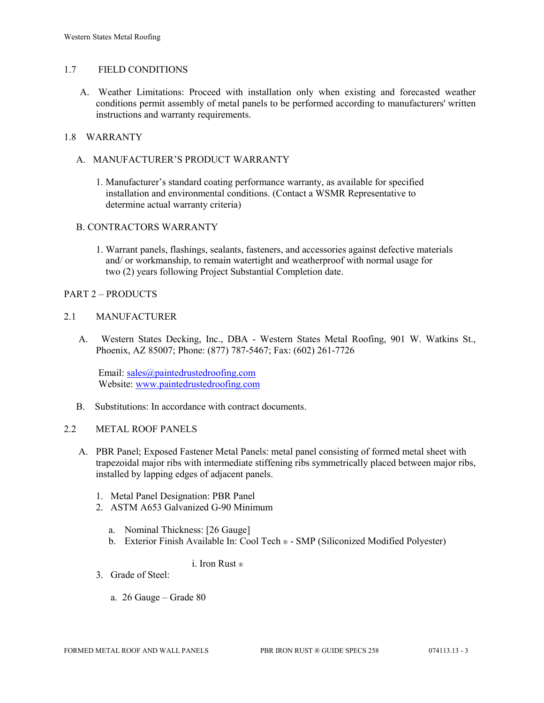## 1.7 FIELD CONDITIONS

A. Weather Limitations: Proceed with installation only when existing and forecasted weather conditions permit assembly of metal panels to be performed according to manufacturers' written instructions and warranty requirements.

## 1.8 WARRANTY

- A. MANUFACTURER'S PRODUCT WARRANTY
	- 1. Manufacturer's standard coating performance warranty, as available for specified installation and environmental conditions. (Contact a WSMR Representative to determine actual warranty criteria)

## B. CONTRACTORS WARRANTY

1. Warrant panels, flashings, sealants, fasteners, and accessories against defective materials and/ or workmanship, to remain watertight and weatherproof with normal usage for two (2) years following Project Substantial Completion date.

#### PART 2 – PRODUCTS

#### 2.1 MANUFACTURER

 A. Western States Decking, Inc., DBA - Western States Metal Roofing, 901 W. Watkins St., Phoenix, AZ 85007; Phone: (877) 787-5467; Fax: (602) 261-7726

Email: [sales@paintedrustedroofing.com](mailto:sales@paintedrustedroofing.com) Website: [www.paintedrustedroofing.com](http://www.paintedrustedroofing.com/)

B. Substitutions: In accordance with contract documents.

#### 2.2 METAL ROOF PANELS

- A. PBR Panel; Exposed Fastener Metal Panels: metal panel consisting of formed metal sheet with trapezoidal major ribs with intermediate stiffening ribs symmetrically placed between major ribs, installed by lapping edges of adjacent panels.
	- 1. Metal Panel Designation: PBR Panel
	- 2. ASTM A653 Galvanized G-90 Minimum
		- a. Nominal Thickness: [26 Gauge]
		- b. Exterior Finish Available In: Cool Tech ® SMP (Siliconized Modified Polyester)

## i. Iron Rust ®

- 3. Grade of Steel:
	- a. 26 Gauge Grade 80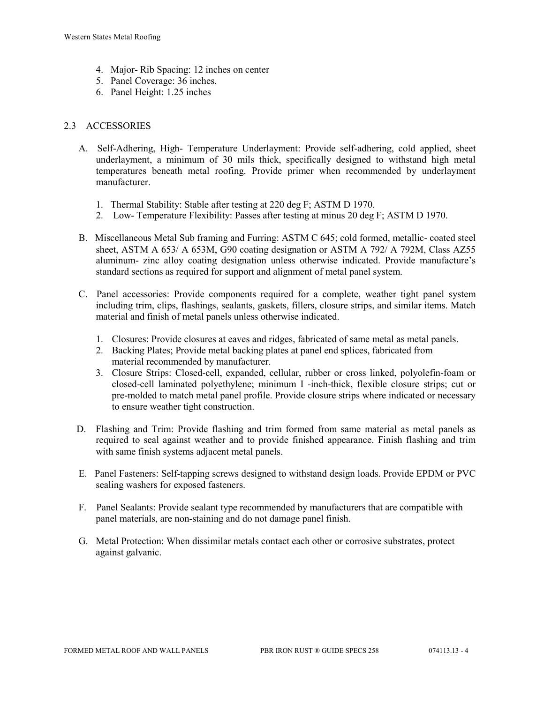- 4. Major- Rib Spacing: 12 inches on center
- 5. Panel Coverage: 36 inches.
- 6. Panel Height: 1.25 inches

## 2.3 ACCESSORIES

- A. Self-Adhering, High- Temperature Underlayment: Provide self-adhering, cold applied, sheet underlayment, a minimum of 30 mils thick, specifically designed to withstand high metal temperatures beneath metal roofing. Provide primer when recommended by underlayment manufacturer.
	- 1. Thermal Stability: Stable after testing at 220 deg F; ASTM D 1970.
	- 2. Low- Temperature Flexibility: Passes after testing at minus 20 deg F; ASTM D 1970.
- B. Miscellaneous Metal Sub framing and Furring: ASTM C 645; cold formed, metallic- coated steel sheet, ASTM A 653/ A 653M, G90 coating designation or ASTM A 792/ A 792M, Class AZ55 aluminum- zinc alloy coating designation unless otherwise indicated. Provide manufacture's standard sections as required for support and alignment of metal panel system.
- C. Panel accessories: Provide components required for a complete, weather tight panel system including trim, clips, flashings, sealants, gaskets, fillers, closure strips, and similar items. Match material and finish of metal panels unless otherwise indicated.
	- 1. Closures: Provide closures at eaves and ridges, fabricated of same metal as metal panels.
	- 2. Backing Plates; Provide metal backing plates at panel end splices, fabricated from material recommended by manufacturer.
	- 3. Closure Strips: Closed-cell, expanded, cellular, rubber or cross linked, polyolefin-foam or closed-cell laminated polyethylene; minimum I -inch-thick, flexible closure strips; cut or pre-molded to match metal panel profile. Provide closure strips where indicated or necessary to ensure weather tight construction.
- D. Flashing and Trim: Provide flashing and trim formed from same material as metal panels as required to seal against weather and to provide finished appearance. Finish flashing and trim with same finish systems adjacent metal panels.
- E. Panel Fasteners: Self-tapping screws designed to withstand design loads. Provide EPDM or PVC sealing washers for exposed fasteners.
- F. Panel Sealants: Provide sealant type recommended by manufacturers that are compatible with panel materials, are non-staining and do not damage panel finish.
- G. Metal Protection: When dissimilar metals contact each other or corrosive substrates, protect against galvanic.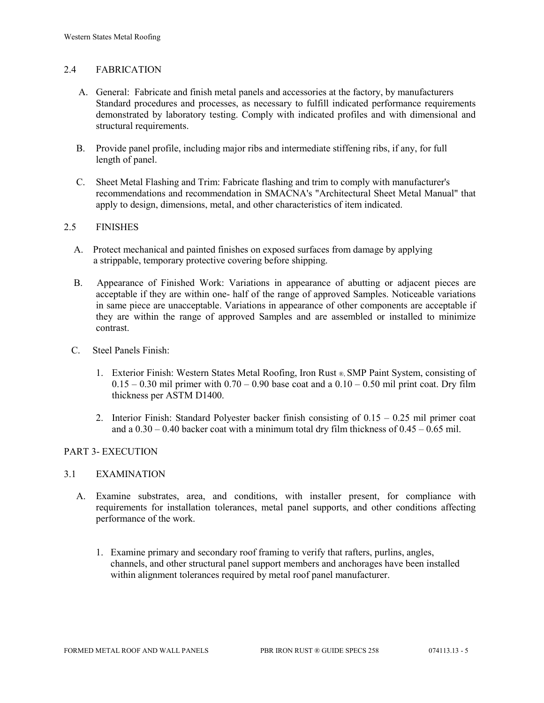## 2.4 FABRICATION

- A. General: Fabricate and finish metal panels and accessories at the factory, by manufacturers Standard procedures and processes, as necessary to fulfill indicated performance requirements demonstrated by laboratory testing. Comply with indicated profiles and with dimensional and structural requirements.
- B. Provide panel profile, including major ribs and intermediate stiffening ribs, if any, for full length of panel.
- C. Sheet Metal Flashing and Trim: Fabricate flashing and trim to comply with manufacturer's recommendations and recommendation in SMACNA's "Architectural Sheet Metal Manual" that apply to design, dimensions, metal, and other characteristics of item indicated.

#### 2.5 FINISHES

- A. Protect mechanical and painted finishes on exposed surfaces from damage by applying a strippable, temporary protective covering before shipping.
- B. Appearance of Finished Work: Variations in appearance of abutting or adjacent pieces are acceptable if they are within one- half of the range of approved Samples. Noticeable variations in same piece are unacceptable. Variations in appearance of other components are acceptable if they are within the range of approved Samples and are assembled or installed to minimize contrast.
- C. Steel Panels Finish:
	- 1. Exterior Finish: Western States Metal Roofing, Iron Rust ®, SMP Paint System, consisting of  $0.15 - 0.30$  mil primer with  $0.70 - 0.90$  base coat and a  $0.10 - 0.50$  mil print coat. Dry film thickness per ASTM D1400.
	- 2. Interior Finish: Standard Polyester backer finish consisting of 0.15 0.25 mil primer coat and a  $0.30 - 0.40$  backer coat with a minimum total dry film thickness of  $0.45 - 0.65$  mil.

#### PART 3- EXECUTION

#### 3.1 EXAMINATION

- A. Examine substrates, area, and conditions, with installer present, for compliance with requirements for installation tolerances, metal panel supports, and other conditions affecting performance of the work.
	- 1. Examine primary and secondary roof framing to verify that rafters, purlins, angles, channels, and other structural panel support members and anchorages have been installed within alignment tolerances required by metal roof panel manufacturer.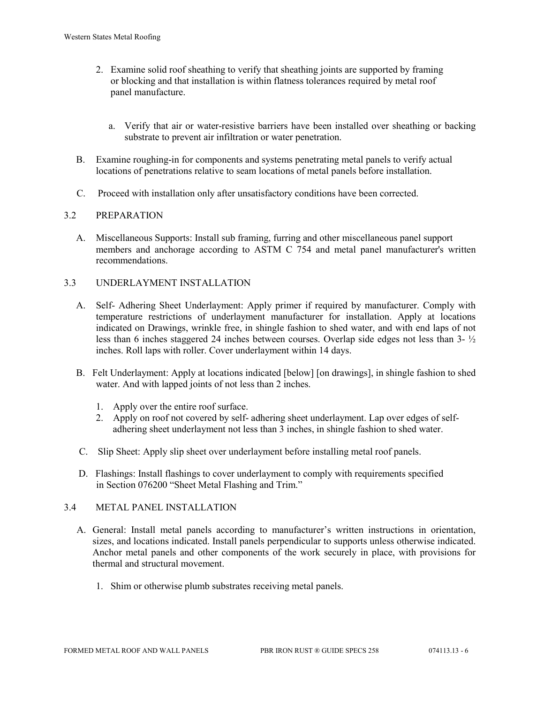- 2. Examine solid roof sheathing to verify that sheathing joints are supported by framing or blocking and that installation is within flatness tolerances required by metal roof panel manufacture.
	- a. Verify that air or water-resistive barriers have been installed over sheathing or backing substrate to prevent air infiltration or water penetration.
- B. Examine roughing-in for components and systems penetrating metal panels to verify actual locations of penetrations relative to seam locations of metal panels before installation.
- C. Proceed with installation only after unsatisfactory conditions have been corrected.

## 3.2 PREPARATION

- A. Miscellaneous Supports: Install sub framing, furring and other miscellaneous panel support members and anchorage according to ASTM C 754 and metal panel manufacturer's written recommendations.
- 3.3 UNDERLAYMENT INSTALLATION
	- A. Self- Adhering Sheet Underlayment: Apply primer if required by manufacturer. Comply with temperature restrictions of underlayment manufacturer for installation. Apply at locations indicated on Drawings, wrinkle free, in shingle fashion to shed water, and with end laps of not less than 6 inches staggered 24 inches between courses. Overlap side edges not less than 3- ½ inches. Roll laps with roller. Cover underlayment within 14 days.
	- B. Felt Underlayment: Apply at locations indicated [below] [on drawings], in shingle fashion to shed water. And with lapped joints of not less than 2 inches.
		- 1. Apply over the entire roof surface.
		- 2. Apply on roof not covered by self- adhering sheet underlayment. Lap over edges of self adhering sheet underlayment not less than 3 inches, in shingle fashion to shed water.
	- C. Slip Sheet: Apply slip sheet over underlayment before installing metal roof panels.
	- D. Flashings: Install flashings to cover underlayment to comply with requirements specified in Section 076200 "Sheet Metal Flashing and Trim."

## 3.4 METAL PANEL INSTALLATION

- A. General: Install metal panels according to manufacturer's written instructions in orientation, sizes, and locations indicated. Install panels perpendicular to supports unless otherwise indicated. Anchor metal panels and other components of the work securely in place, with provisions for thermal and structural movement.
	- 1. Shim or otherwise plumb substrates receiving metal panels.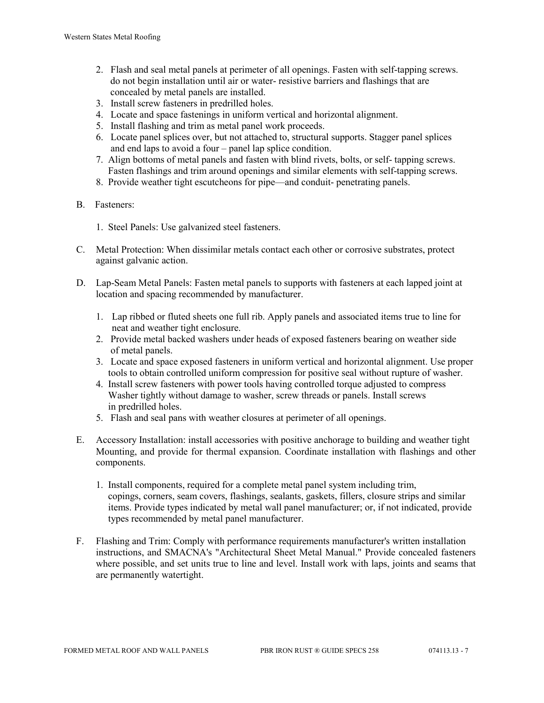- 2. Flash and seal metal panels at perimeter of all openings. Fasten with self-tapping screws. do not begin installation until air or water- resistive barriers and flashings that are concealed by metal panels are installed.
- 3. Install screw fasteners in predrilled holes.
- 4. Locate and space fastenings in uniform vertical and horizontal alignment.
- 5. Install flashing and trim as metal panel work proceeds.
- 6. Locate panel splices over, but not attached to, structural supports. Stagger panel splices and end laps to avoid a four – panel lap splice condition.
- 7. Align bottoms of metal panels and fasten with blind rivets, bolts, or self- tapping screws. Fasten flashings and trim around openings and similar elements with self-tapping screws.
- 8. Provide weather tight escutcheons for pipe—and conduit- penetrating panels.
- B. Fasteners:
	- 1. Steel Panels: Use galvanized steel fasteners.
- C. Metal Protection: When dissimilar metals contact each other or corrosive substrates, protect against galvanic action.
- D. Lap-Seam Metal Panels: Fasten metal panels to supports with fasteners at each lapped joint at location and spacing recommended by manufacturer.
	- 1. Lap ribbed or fluted sheets one full rib. Apply panels and associated items true to line for neat and weather tight enclosure.
	- 2. Provide metal backed washers under heads of exposed fasteners bearing on weather side of metal panels.
	- 3. Locate and space exposed fasteners in uniform vertical and horizontal alignment. Use proper tools to obtain controlled uniform compression for positive seal without rupture of washer.
	- 4. Install screw fasteners with power tools having controlled torque adjusted to compress Washer tightly without damage to washer, screw threads or panels. Install screws in predrilled holes.
	- 5. Flash and seal pans with weather closures at perimeter of all openings.
- E. Accessory Installation: install accessories with positive anchorage to building and weather tight Mounting, and provide for thermal expansion. Coordinate installation with flashings and other components.
	- 1. Install components, required for a complete metal panel system including trim, copings, corners, seam covers, flashings, sealants, gaskets, fillers, closure strips and similar items. Provide types indicated by metal wall panel manufacturer; or, if not indicated, provide types recommended by metal panel manufacturer.
- F. Flashing and Trim: Comply with performance requirements manufacturer's written installation instructions, and SMACNA's "Architectural Sheet Metal Manual." Provide concealed fasteners where possible, and set units true to line and level. Install work with laps, joints and seams that are permanently watertight.